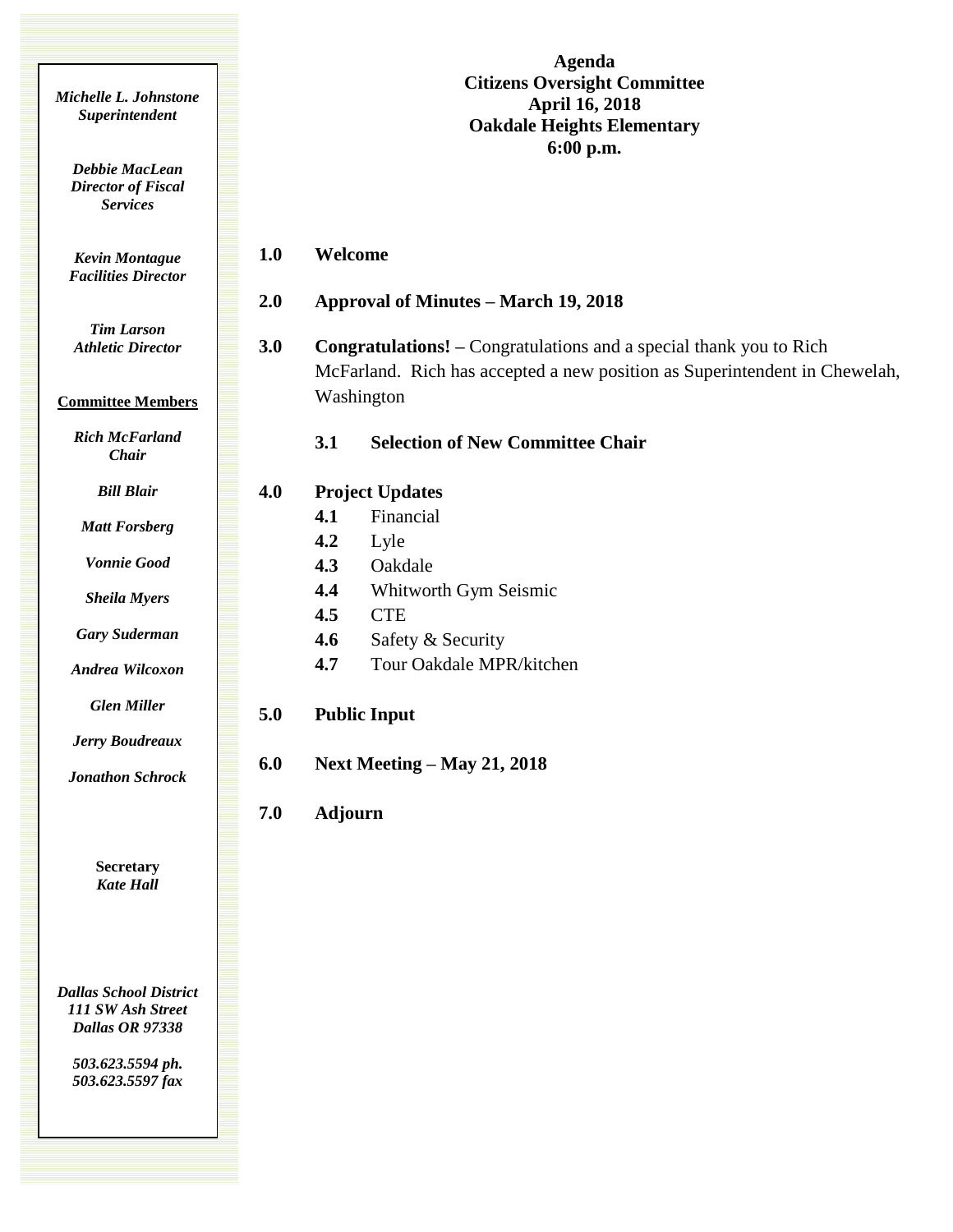|                                                                       |     | <b>Agenda</b>                                                                                                                                                  |
|-----------------------------------------------------------------------|-----|----------------------------------------------------------------------------------------------------------------------------------------------------------------|
| Michelle L. Johnstone<br>Superintendent                               |     | <b>Citizens Oversight Committee</b><br><b>April 16, 2018</b><br><b>Oakdale Heights Elementary</b><br>6:00 p.m.                                                 |
| Debbie MacLean<br><b>Director of Fiscal</b><br><b>Services</b>        |     |                                                                                                                                                                |
| <b>Kevin Montague</b><br><b>Facilities Director</b>                   |     | Welcome<br>1.0                                                                                                                                                 |
|                                                                       |     | 2.0<br><b>Approval of Minutes - March 19, 2018</b>                                                                                                             |
| <b>Tim Larson</b><br><b>Athletic Director</b>                         |     | 3.0<br><b>Congratulations!</b> – Congratulations and a special thank you to Rich<br>McFarland. Rich has accepted a new position as Superintendent in Chewelah, |
| <b>Committee Members</b>                                              |     | Washington                                                                                                                                                     |
| <b>Rich McFarland</b><br>Chair                                        |     | <b>Selection of New Committee Chair</b><br>3.1                                                                                                                 |
| <b>Bill Blair</b>                                                     | 4.0 | <b>Project Updates</b>                                                                                                                                         |
| <b>Matt Forsberg</b>                                                  |     | Financial<br>4.1                                                                                                                                               |
| <b>Vonnie Good</b>                                                    |     | 4.2<br>Lyle<br>4.3<br>Oakdale                                                                                                                                  |
| <b>Sheila Myers</b>                                                   |     | 4.4<br>Whitworth Gym Seismic                                                                                                                                   |
|                                                                       |     | 4.5<br><b>CTE</b>                                                                                                                                              |
| <b>Gary Suderman</b>                                                  |     | 4.6<br>Safety & Security                                                                                                                                       |
| Andrea Wilcoxon                                                       |     | 4.7<br>Tour Oakdale MPR/kitchen                                                                                                                                |
| <b>Glen Miller</b>                                                    | 5.0 | <b>Public Input</b>                                                                                                                                            |
| Jerry Boudreaux                                                       |     | 6.0                                                                                                                                                            |
| <b>Jonathon Schrock</b>                                               |     | <b>Next Meeting – May 21, 2018</b>                                                                                                                             |
|                                                                       |     | 7.0<br><b>Adjourn</b>                                                                                                                                          |
| <b>Secretary</b><br><b>Kate Hall</b>                                  |     |                                                                                                                                                                |
|                                                                       |     |                                                                                                                                                                |
| <b>Dallas School District</b><br>111 SW Ash Street<br>Dallas OR 97338 |     |                                                                                                                                                                |
| 503.623.5594 ph.<br>503.623.5597 fax                                  |     |                                                                                                                                                                |
|                                                                       |     |                                                                                                                                                                |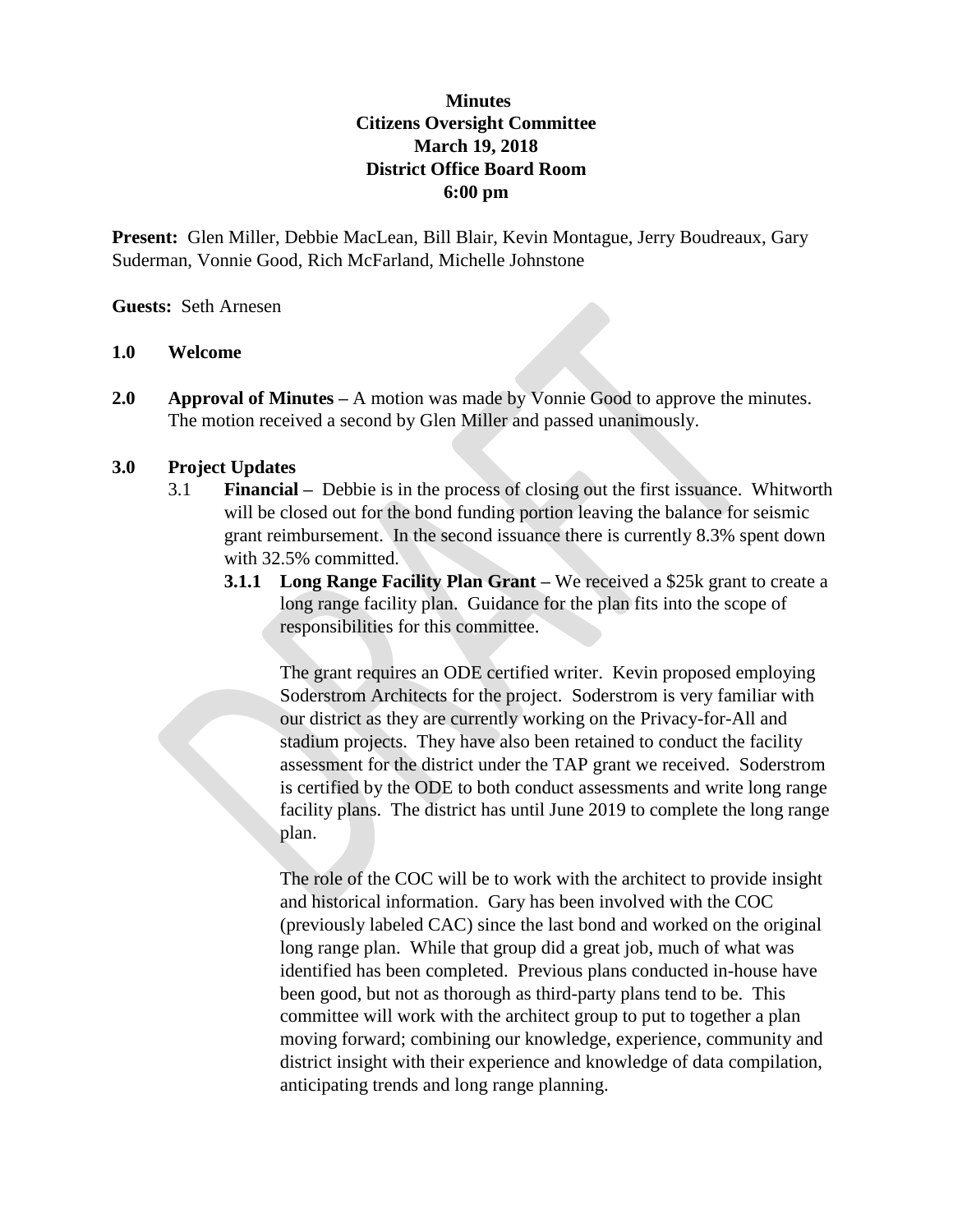## **Minutes Citizens Oversight Committee March 19, 2018 District Office Board Room 6:00 pm**

**Present:** Glen Miller, Debbie MacLean, Bill Blair, Kevin Montague, Jerry Boudreaux, Gary Suderman, Vonnie Good, Rich McFarland, Michelle Johnstone

**Guests:** Seth Arnesen

## **1.0 Welcome**

**2.0 Approval of Minutes –** A motion was made by Vonnie Good to approve the minutes. The motion received a second by Glen Miller and passed unanimously.

## **3.0 Project Updates**

- 3.1 **Financial** Debbie is in the process of closing out the first issuance. Whitworth will be closed out for the bond funding portion leaving the balance for seismic grant reimbursement. In the second issuance there is currently 8.3% spent down with 32.5% committed.
	- **3.1.1 Long Range Facility Plan Grant –** We received a \$25k grant to create a long range facility plan. Guidance for the plan fits into the scope of responsibilities for this committee.

The grant requires an ODE certified writer. Kevin proposed employing Soderstrom Architects for the project. Soderstrom is very familiar with our district as they are currently working on the Privacy-for-All and stadium projects. They have also been retained to conduct the facility assessment for the district under the TAP grant we received. Soderstrom is certified by the ODE to both conduct assessments and write long range facility plans. The district has until June 2019 to complete the long range plan.

The role of the COC will be to work with the architect to provide insight and historical information. Gary has been involved with the COC (previously labeled CAC) since the last bond and worked on the original long range plan. While that group did a great job, much of what was identified has been completed. Previous plans conducted in-house have been good, but not as thorough as third-party plans tend to be. This committee will work with the architect group to put to together a plan moving forward; combining our knowledge, experience, community and district insight with their experience and knowledge of data compilation, anticipating trends and long range planning.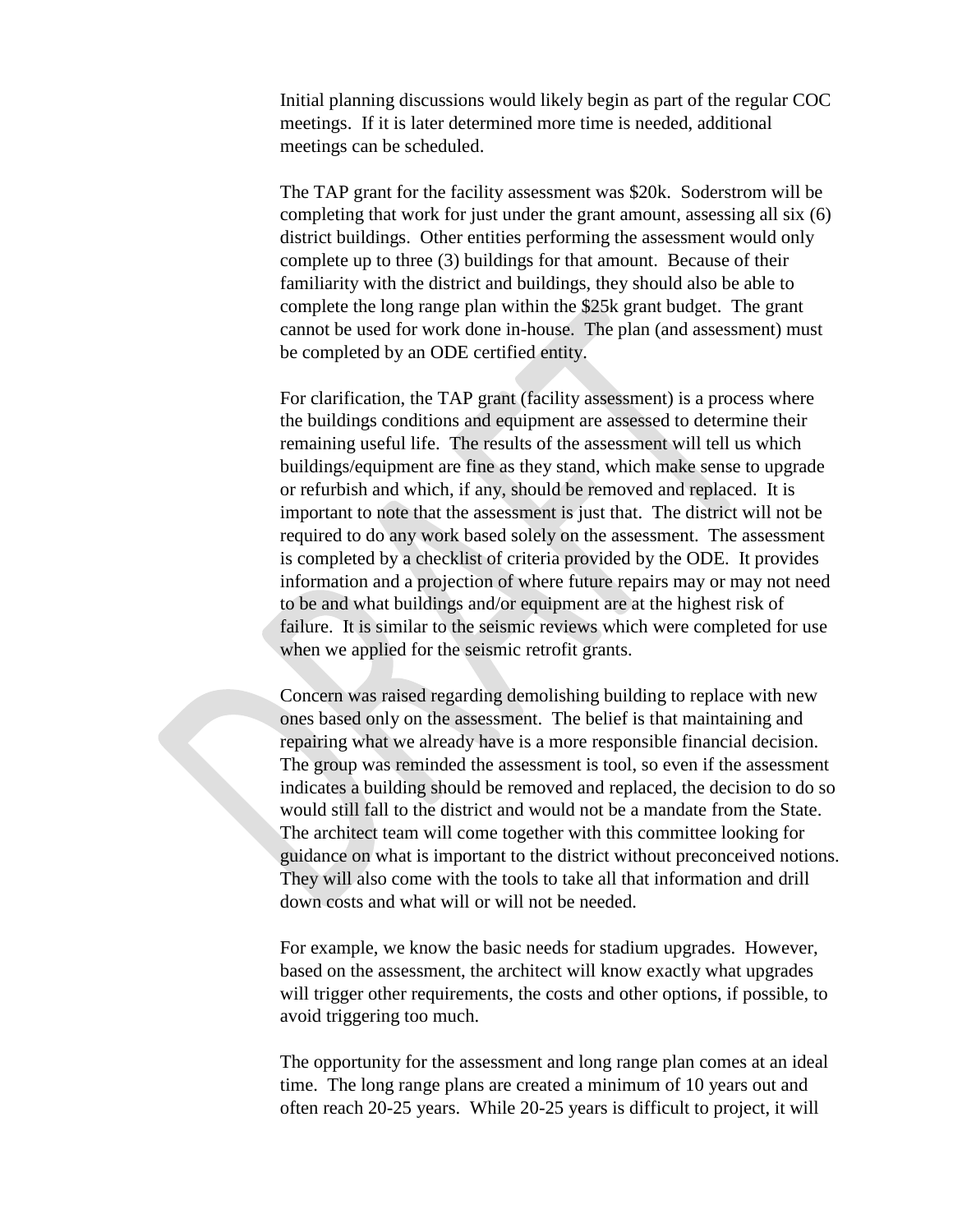Initial planning discussions would likely begin as part of the regular COC meetings. If it is later determined more time is needed, additional meetings can be scheduled.

The TAP grant for the facility assessment was \$20k. Soderstrom will be completing that work for just under the grant amount, assessing all six (6) district buildings. Other entities performing the assessment would only complete up to three (3) buildings for that amount. Because of their familiarity with the district and buildings, they should also be able to complete the long range plan within the \$25k grant budget. The grant cannot be used for work done in-house. The plan (and assessment) must be completed by an ODE certified entity.

For clarification, the TAP grant (facility assessment) is a process where the buildings conditions and equipment are assessed to determine their remaining useful life. The results of the assessment will tell us which buildings/equipment are fine as they stand, which make sense to upgrade or refurbish and which, if any, should be removed and replaced. It is important to note that the assessment is just that. The district will not be required to do any work based solely on the assessment. The assessment is completed by a checklist of criteria provided by the ODE. It provides information and a projection of where future repairs may or may not need to be and what buildings and/or equipment are at the highest risk of failure. It is similar to the seismic reviews which were completed for use when we applied for the seismic retrofit grants.

Concern was raised regarding demolishing building to replace with new ones based only on the assessment. The belief is that maintaining and repairing what we already have is a more responsible financial decision. The group was reminded the assessment is tool, so even if the assessment indicates a building should be removed and replaced, the decision to do so would still fall to the district and would not be a mandate from the State. The architect team will come together with this committee looking for guidance on what is important to the district without preconceived notions. They will also come with the tools to take all that information and drill down costs and what will or will not be needed.

For example, we know the basic needs for stadium upgrades. However, based on the assessment, the architect will know exactly what upgrades will trigger other requirements, the costs and other options, if possible, to avoid triggering too much.

The opportunity for the assessment and long range plan comes at an ideal time. The long range plans are created a minimum of 10 years out and often reach 20-25 years. While 20-25 years is difficult to project, it will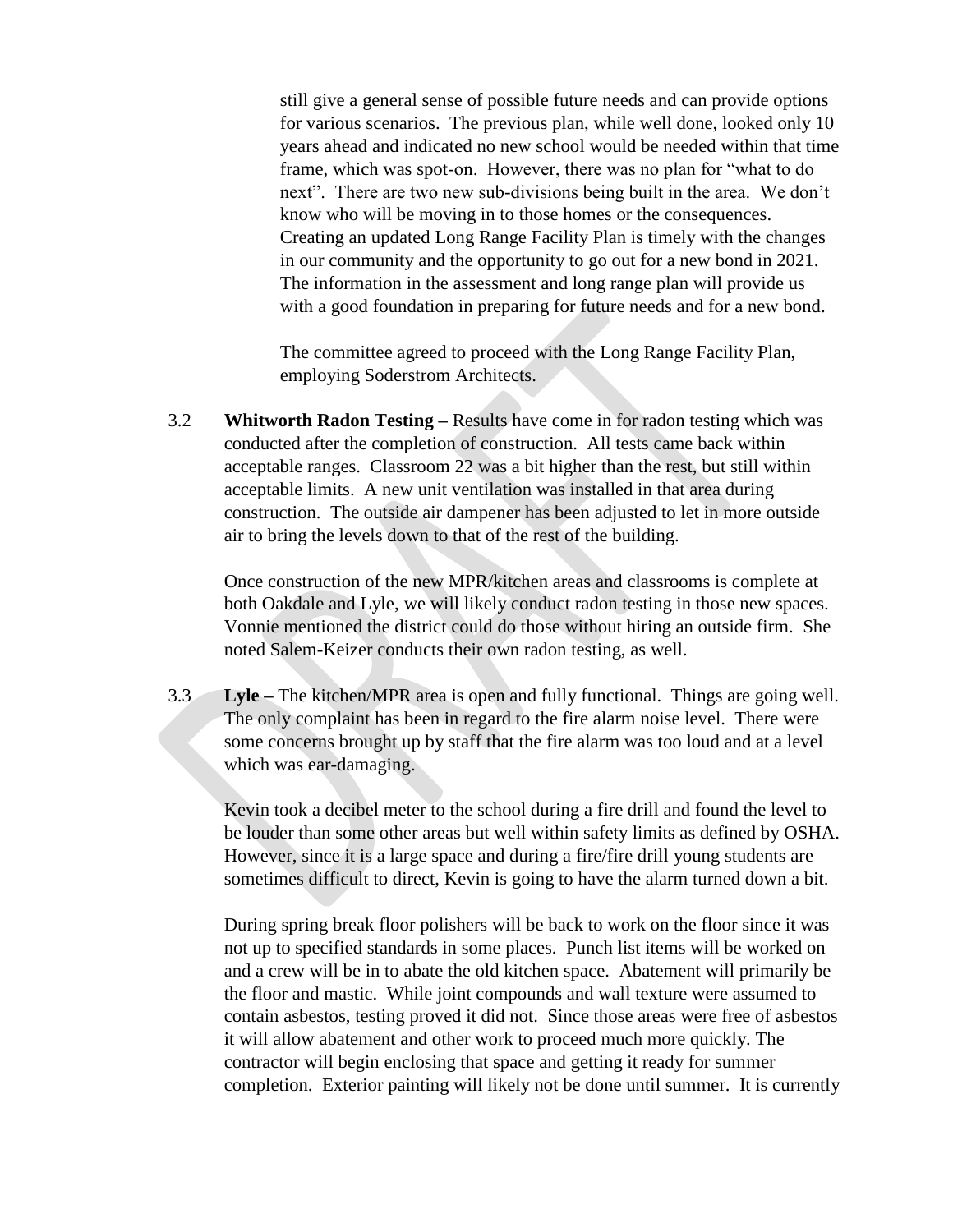still give a general sense of possible future needs and can provide options for various scenarios. The previous plan, while well done, looked only 10 years ahead and indicated no new school would be needed within that time frame, which was spot-on. However, there was no plan for "what to do next". There are two new sub-divisions being built in the area. We don't know who will be moving in to those homes or the consequences. Creating an updated Long Range Facility Plan is timely with the changes in our community and the opportunity to go out for a new bond in 2021. The information in the assessment and long range plan will provide us with a good foundation in preparing for future needs and for a new bond.

The committee agreed to proceed with the Long Range Facility Plan, employing Soderstrom Architects.

3.2 **Whitworth Radon Testing –** Results have come in for radon testing which was conducted after the completion of construction. All tests came back within acceptable ranges. Classroom 22 was a bit higher than the rest, but still within acceptable limits. A new unit ventilation was installed in that area during construction. The outside air dampener has been adjusted to let in more outside air to bring the levels down to that of the rest of the building.

Once construction of the new MPR/kitchen areas and classrooms is complete at both Oakdale and Lyle, we will likely conduct radon testing in those new spaces. Vonnie mentioned the district could do those without hiring an outside firm. She noted Salem-Keizer conducts their own radon testing, as well.

3.3 **Lyle –** The kitchen/MPR area is open and fully functional. Things are going well. The only complaint has been in regard to the fire alarm noise level. There were some concerns brought up by staff that the fire alarm was too loud and at a level which was ear-damaging.

Kevin took a decibel meter to the school during a fire drill and found the level to be louder than some other areas but well within safety limits as defined by OSHA. However, since it is a large space and during a fire/fire drill young students are sometimes difficult to direct, Kevin is going to have the alarm turned down a bit.

During spring break floor polishers will be back to work on the floor since it was not up to specified standards in some places. Punch list items will be worked on and a crew will be in to abate the old kitchen space. Abatement will primarily be the floor and mastic. While joint compounds and wall texture were assumed to contain asbestos, testing proved it did not. Since those areas were free of asbestos it will allow abatement and other work to proceed much more quickly. The contractor will begin enclosing that space and getting it ready for summer completion. Exterior painting will likely not be done until summer. It is currently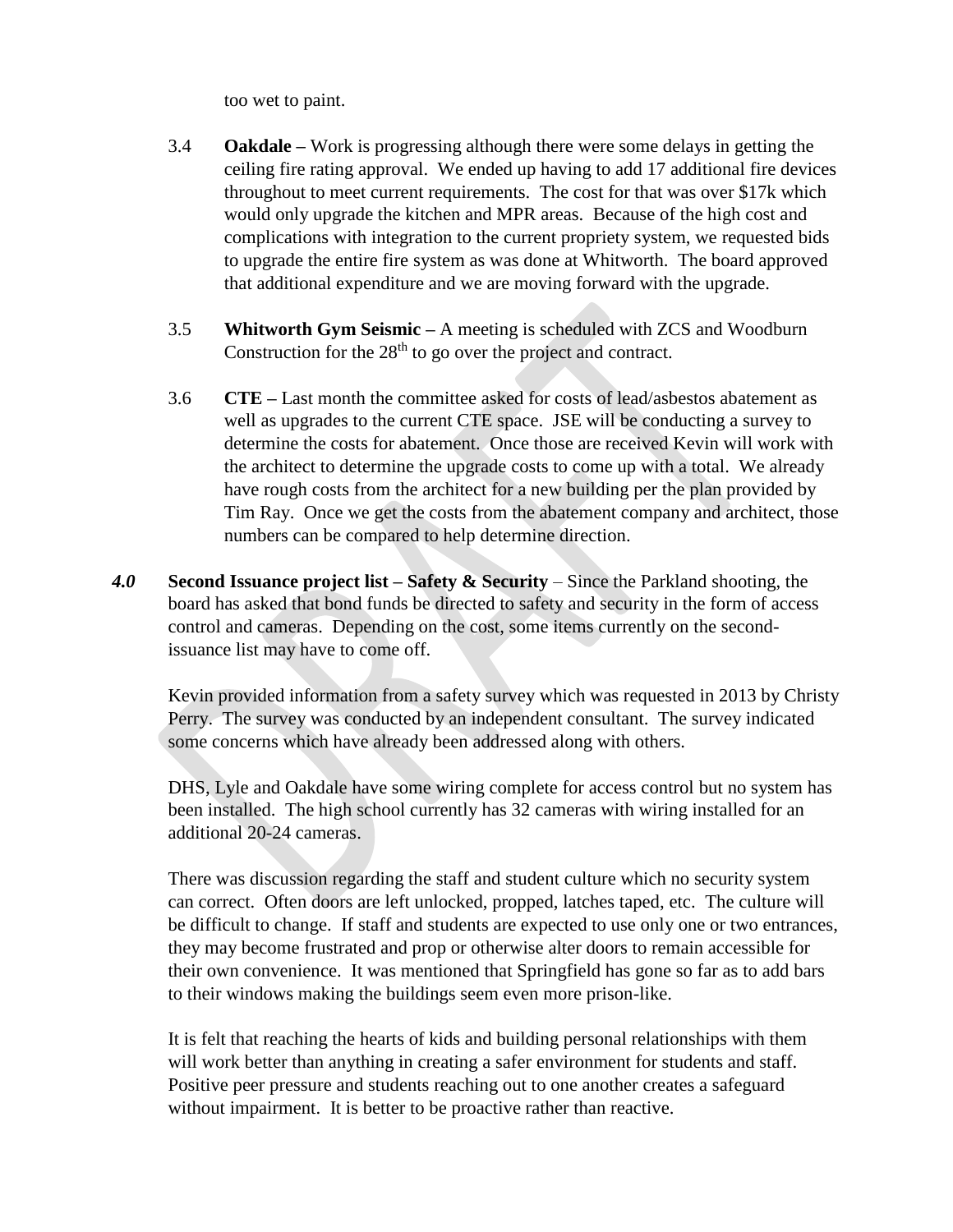too wet to paint.

- 3.4 **Oakdale –** Work is progressing although there were some delays in getting the ceiling fire rating approval. We ended up having to add 17 additional fire devices throughout to meet current requirements. The cost for that was over \$17k which would only upgrade the kitchen and MPR areas. Because of the high cost and complications with integration to the current propriety system, we requested bids to upgrade the entire fire system as was done at Whitworth. The board approved that additional expenditure and we are moving forward with the upgrade.
- 3.5 **Whitworth Gym Seismic –** A meeting is scheduled with ZCS and Woodburn Construction for the  $28<sup>th</sup>$  to go over the project and contract.
- 3.6 **CTE –** Last month the committee asked for costs of lead/asbestos abatement as well as upgrades to the current CTE space. JSE will be conducting a survey to determine the costs for abatement. Once those are received Kevin will work with the architect to determine the upgrade costs to come up with a total. We already have rough costs from the architect for a new building per the plan provided by Tim Ray. Once we get the costs from the abatement company and architect, those numbers can be compared to help determine direction.
- *4.0* **Second Issuance project list – Safety & Security** Since the Parkland shooting, the board has asked that bond funds be directed to safety and security in the form of access control and cameras. Depending on the cost, some items currently on the secondissuance list may have to come off.

Kevin provided information from a safety survey which was requested in 2013 by Christy Perry. The survey was conducted by an independent consultant. The survey indicated some concerns which have already been addressed along with others.

DHS, Lyle and Oakdale have some wiring complete for access control but no system has been installed. The high school currently has 32 cameras with wiring installed for an additional 20-24 cameras.

There was discussion regarding the staff and student culture which no security system can correct. Often doors are left unlocked, propped, latches taped, etc. The culture will be difficult to change. If staff and students are expected to use only one or two entrances, they may become frustrated and prop or otherwise alter doors to remain accessible for their own convenience. It was mentioned that Springfield has gone so far as to add bars to their windows making the buildings seem even more prison-like.

It is felt that reaching the hearts of kids and building personal relationships with them will work better than anything in creating a safer environment for students and staff. Positive peer pressure and students reaching out to one another creates a safeguard without impairment. It is better to be proactive rather than reactive.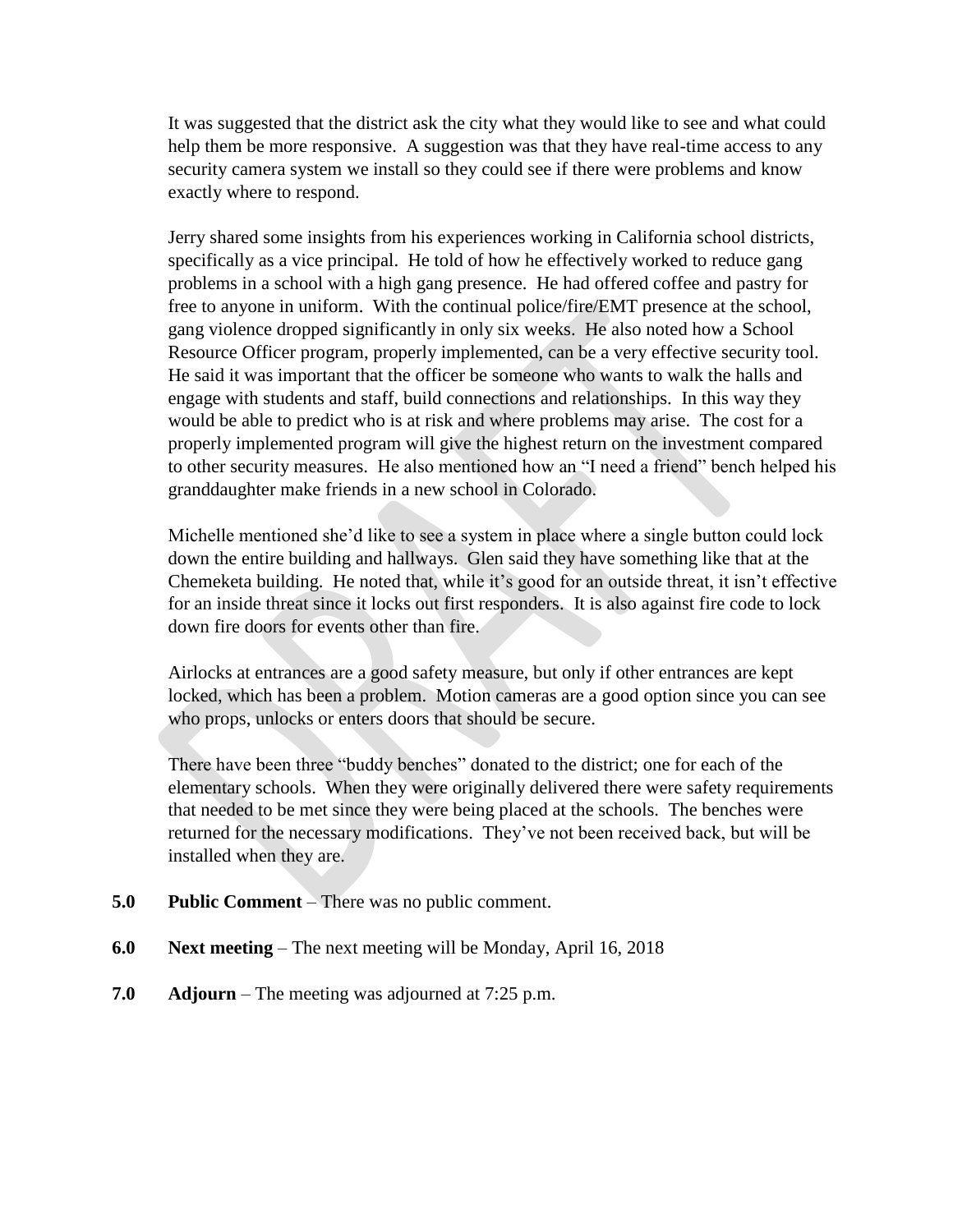It was suggested that the district ask the city what they would like to see and what could help them be more responsive. A suggestion was that they have real-time access to any security camera system we install so they could see if there were problems and know exactly where to respond.

Jerry shared some insights from his experiences working in California school districts, specifically as a vice principal. He told of how he effectively worked to reduce gang problems in a school with a high gang presence. He had offered coffee and pastry for free to anyone in uniform. With the continual police/fire/EMT presence at the school, gang violence dropped significantly in only six weeks. He also noted how a School Resource Officer program, properly implemented, can be a very effective security tool. He said it was important that the officer be someone who wants to walk the halls and engage with students and staff, build connections and relationships. In this way they would be able to predict who is at risk and where problems may arise. The cost for a properly implemented program will give the highest return on the investment compared to other security measures. He also mentioned how an "I need a friend" bench helped his granddaughter make friends in a new school in Colorado.

Michelle mentioned she'd like to see a system in place where a single button could lock down the entire building and hallways. Glen said they have something like that at the Chemeketa building. He noted that, while it's good for an outside threat, it isn't effective for an inside threat since it locks out first responders. It is also against fire code to lock down fire doors for events other than fire.

Airlocks at entrances are a good safety measure, but only if other entrances are kept locked, which has been a problem. Motion cameras are a good option since you can see who props, unlocks or enters doors that should be secure.

There have been three "buddy benches" donated to the district; one for each of the elementary schools. When they were originally delivered there were safety requirements that needed to be met since they were being placed at the schools. The benches were returned for the necessary modifications. They've not been received back, but will be installed when they are.

- **5.0 Public Comment** There was no public comment.
- **6.0 Next meeting** The next meeting will be Monday, April 16, 2018
- **7.0 Adjourn**  The meeting was adjourned at 7:25 p.m.